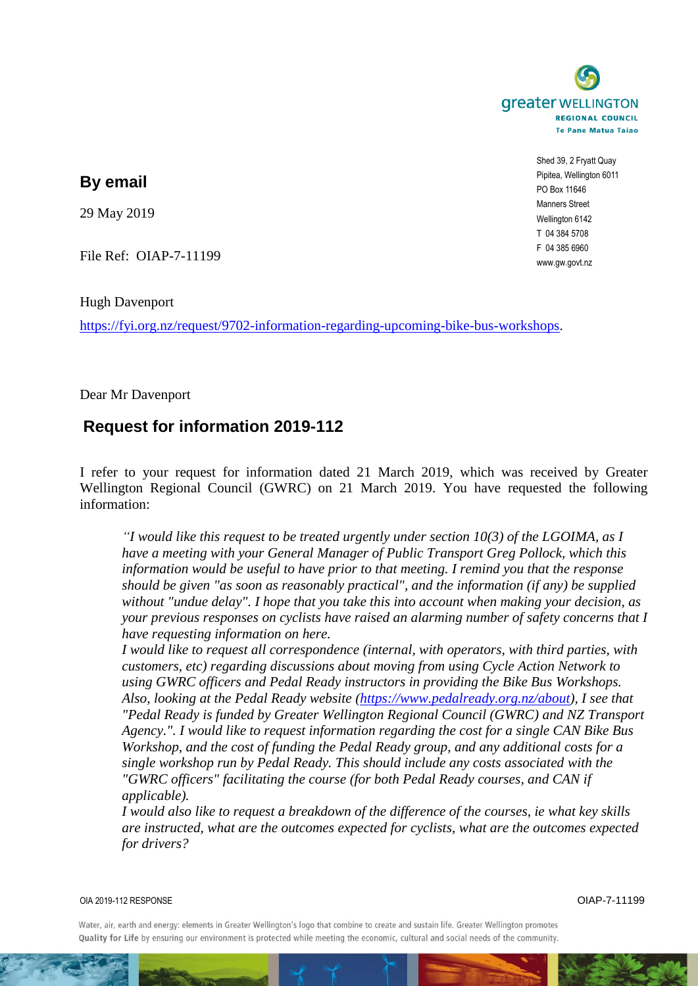

Shed 39, 2 Fryatt Quay Pipitea, Wellington 6011 PO Box 11646 Manners Street Wellington 6142 T 04 384 5708 F 04 385 6960 www.gw.govt.nz

## **By email**

29 May 2019

File Ref: OIAP-7-11199

Hugh Davenport

[https://fyi.org.nz/request/9702-information-regarding-upcoming-bike-bus-workshops.](https://fyi.org.nz/request/9702-information-regarding-upcoming-bike-bus-workshops)

Dear Mr Davenport

## **Request for information 2019-112**

I refer to your request for information dated 21 March 2019, which was received by Greater Wellington Regional Council (GWRC) on 21 March 2019. You have requested the following information:

*"I would like this request to be treated urgently under section 10(3) of the LGOIMA, as I have a meeting with your General Manager of Public Transport Greg Pollock, which this information would be useful to have prior to that meeting. I remind you that the response should be given "as soon as reasonably practical", and the information (if any) be supplied without "undue delay". I hope that you take this into account when making your decision, as your previous responses on cyclists have raised an alarming number of safety concerns that I have requesting information on here.*

*I would like to request all correspondence (internal, with operators, with third parties, with customers, etc) regarding discussions about moving from using Cycle Action Network to using GWRC officers and Pedal Ready instructors in providing the Bike Bus Workshops. Also, looking at the Pedal Ready website [\(https://www.pedalready.org.nz/about\)](https://www.pedalready.org.nz/about), I see that "Pedal Ready is funded by Greater Wellington Regional Council (GWRC) and NZ Transport Agency.". I would like to request information regarding the cost for a single CAN Bike Bus Workshop, and the cost of funding the Pedal Ready group, and any additional costs for a single workshop run by Pedal Ready. This should include any costs associated with the "GWRC officers" facilitating the course (for both Pedal Ready courses, and CAN if applicable).*

*I would also like to request a breakdown of the difference of the courses, ie what key skills are instructed, what are the outcomes expected for cyclists, what are the outcomes expected for drivers?*

OIA 2019-112 RESPONSE OIAP-7-11199

Water, air, earth and energy: elements in Greater Wellington's logo that combine to create and sustain life. Greater Wellington promotes Quality for Life by ensuring our environment is protected while meeting the economic, cultural and social needs of the community.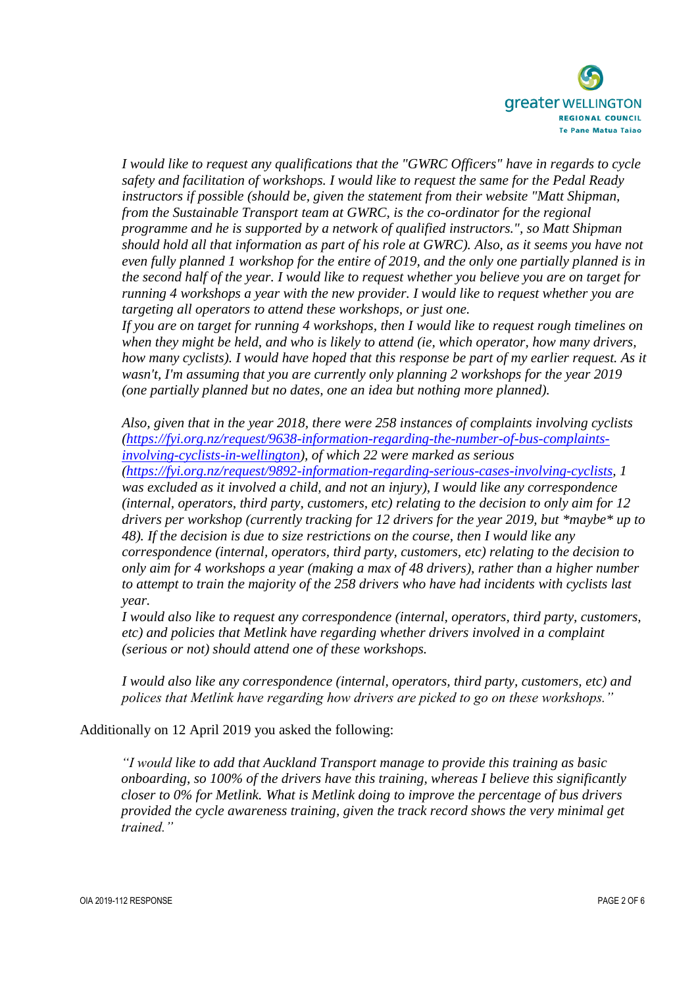

*I would like to request any qualifications that the "GWRC Officers" have in regards to cycle safety and facilitation of workshops. I would like to request the same for the Pedal Ready instructors if possible (should be, given the statement from their website "Matt Shipman, from the Sustainable Transport team at GWRC, is the co-ordinator for the regional programme and he is supported by a network of qualified instructors.", so Matt Shipman should hold all that information as part of his role at GWRC). Also, as it seems you have not even fully planned 1 workshop for the entire of 2019, and the only one partially planned is in the second half of the year. I would like to request whether you believe you are on target for running 4 workshops a year with the new provider. I would like to request whether you are targeting all operators to attend these workshops, or just one.*

*If you are on target for running 4 workshops, then I would like to request rough timelines on when they might be held, and who is likely to attend (ie, which operator, how many drivers, how many cyclists). I would have hoped that this response be part of my earlier request. As it wasn't, I'm assuming that you are currently only planning 2 workshops for the year 2019 (one partially planned but no dates, one an idea but nothing more planned).*

*Also, given that in the year 2018, there were 258 instances of complaints involving cyclists [\(https://fyi.org.nz/request/9638-information-regarding-the-number-of-bus-complaints](https://fyi.org.nz/request/9638-information-regarding-the-number-of-bus-complaints-involving-cyclists-in-wellington)[involving-cyclists-in-wellington\)](https://fyi.org.nz/request/9638-information-regarding-the-number-of-bus-complaints-involving-cyclists-in-wellington), of which 22 were marked as serious [\(https://fyi.org.nz/request/9892-information-regarding-serious-cases-involving-cyclists,](https://fyi.org.nz/request/9892-information-regarding-serious-cases-involving-cyclists) 1 was excluded as it involved a child, and not an injury), I would like any correspondence (internal, operators, third party, customers, etc) relating to the decision to only aim for 12 drivers per workshop (currently tracking for 12 drivers for the year 2019, but \*maybe\* up to 48). If the decision is due to size restrictions on the course, then I would like any correspondence (internal, operators, third party, customers, etc) relating to the decision to only aim for 4 workshops a year (making a max of 48 drivers), rather than a higher number to attempt to train the majority of the 258 drivers who have had incidents with cyclists last year.*

*I would also like to request any correspondence (internal, operators, third party, customers, etc) and policies that Metlink have regarding whether drivers involved in a complaint (serious or not) should attend one of these workshops.*

*I would also like any correspondence (internal, operators, third party, customers, etc) and polices that Metlink have regarding how drivers are picked to go on these workshops."*

Additionally on 12 April 2019 you asked the following:

*"I would like to add that Auckland Transport manage to provide this training as basic onboarding, so 100% of the drivers have this training, whereas I believe this significantly closer to 0% for Metlink. What is Metlink doing to improve the percentage of bus drivers provided the cycle awareness training, given the track record shows the very minimal get trained."*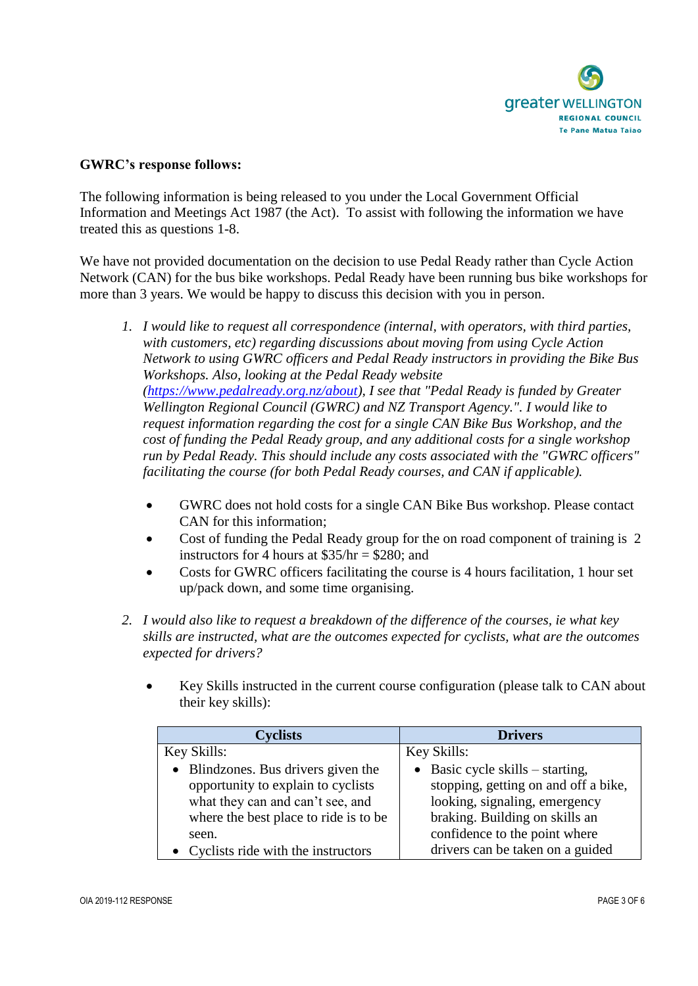

## **GWRC's response follows:**

The following information is being released to you under the Local Government Official Information and Meetings Act 1987 (the Act). To assist with following the information we have treated this as questions 1-8.

We have not provided documentation on the decision to use Pedal Ready rather than Cycle Action Network (CAN) for the bus bike workshops. Pedal Ready have been running bus bike workshops for more than 3 years. We would be happy to discuss this decision with you in person.

- *1. I would like to request all correspondence (internal, with operators, with third parties, with customers, etc) regarding discussions about moving from using Cycle Action Network to using GWRC officers and Pedal Ready instructors in providing the Bike Bus Workshops. Also, looking at the Pedal Ready website [\(https://www.pedalready.org.nz/about\)](https://www.pedalready.org.nz/about), I see that "Pedal Ready is funded by Greater Wellington Regional Council (GWRC) and NZ Transport Agency.". I would like to request information regarding the cost for a single CAN Bike Bus Workshop, and the cost of funding the Pedal Ready group, and any additional costs for a single workshop run by Pedal Ready. This should include any costs associated with the "GWRC officers" facilitating the course (for both Pedal Ready courses, and CAN if applicable).*
	- GWRC does not hold costs for a single CAN Bike Bus workshop. Please contact CAN for this information;
	- Cost of funding the Pedal Ready group for the on road component of training is 2 instructors for 4 hours at  $$35/hr = $280$ : and
	- Costs for GWRC officers facilitating the course is 4 hours facilitation, 1 hour set up/pack down, and some time organising.
- *2. I would also like to request a breakdown of the difference of the courses, ie what key skills are instructed, what are the outcomes expected for cyclists, what are the outcomes expected for drivers?*
	- Key Skills instructed in the current course configuration (please talk to CAN about their key skills):

| <b>Cyclists</b>                       | <b>Drivers</b>                           |
|---------------------------------------|------------------------------------------|
| Key Skills:                           | Key Skills:                              |
| • Blindzones. Bus drivers given the   | $\bullet$ Basic cycle skills – starting, |
| opportunity to explain to cyclists    | stopping, getting on and off a bike,     |
| what they can and can't see, and      | looking, signaling, emergency            |
| where the best place to ride is to be | braking. Building on skills an           |
| seen.                                 | confidence to the point where            |
| • Cyclists ride with the instructors  | drivers can be taken on a guided         |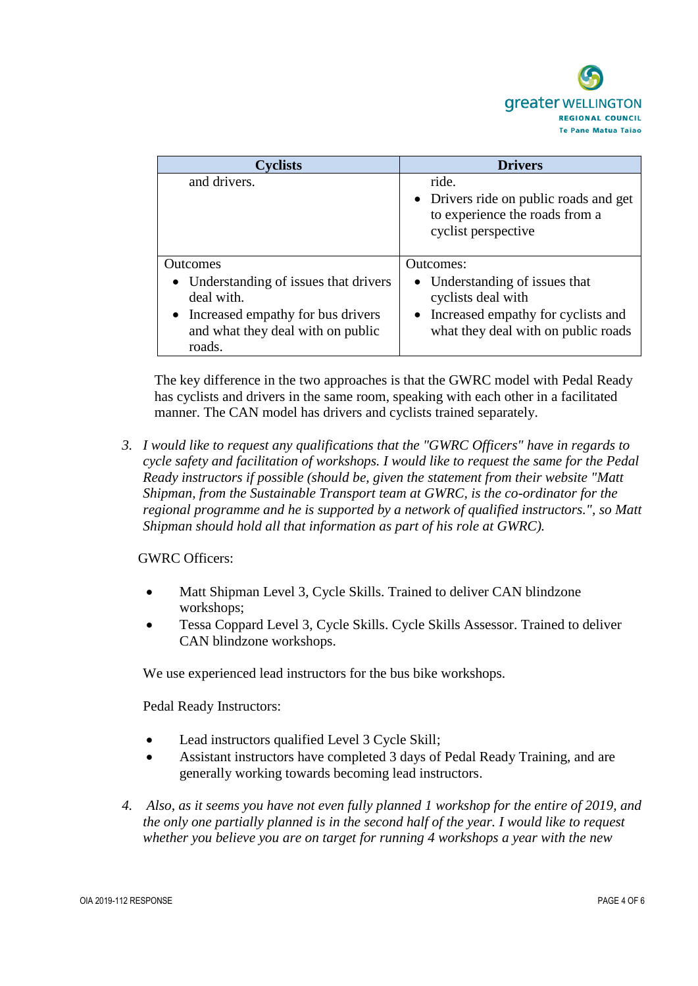

| vclists                                | <b>Drivers</b>                                                                                           |
|----------------------------------------|----------------------------------------------------------------------------------------------------------|
| and drivers.                           | ride.<br>• Drivers ride on public roads and get<br>to experience the roads from a<br>cyclist perspective |
| <b>Outcomes</b>                        | Outcomes:                                                                                                |
| • Understanding of issues that drivers | Understanding of issues that                                                                             |
| deal with.                             | cyclists deal with                                                                                       |
| • Increased empathy for bus drivers    | Increased empathy for cyclists and<br>$\bullet$                                                          |
| and what they deal with on public      | what they deal with on public roads                                                                      |
| roads.                                 |                                                                                                          |

The key difference in the two approaches is that the GWRC model with Pedal Ready has cyclists and drivers in the same room, speaking with each other in a facilitated manner. The CAN model has drivers and cyclists trained separately.

*3. I would like to request any qualifications that the "GWRC Officers" have in regards to cycle safety and facilitation of workshops. I would like to request the same for the Pedal Ready instructors if possible (should be, given the statement from their website "Matt Shipman, from the Sustainable Transport team at GWRC, is the co-ordinator for the regional programme and he is supported by a network of qualified instructors.", so Matt Shipman should hold all that information as part of his role at GWRC).*

GWRC Officers:

- Matt Shipman Level 3, Cycle Skills. Trained to deliver CAN blindzone workshops;
- Tessa Coppard Level 3, Cycle Skills. Cycle Skills Assessor. Trained to deliver CAN blindzone workshops.

We use experienced lead instructors for the bus bike workshops.

Pedal Ready Instructors:

- Lead instructors qualified Level 3 Cycle Skill;
- Assistant instructors have completed 3 days of Pedal Ready Training, and are generally working towards becoming lead instructors.
- *4. Also, as it seems you have not even fully planned 1 workshop for the entire of 2019, and the only one partially planned is in the second half of the year. I would like to request whether you believe you are on target for running 4 workshops a year with the new*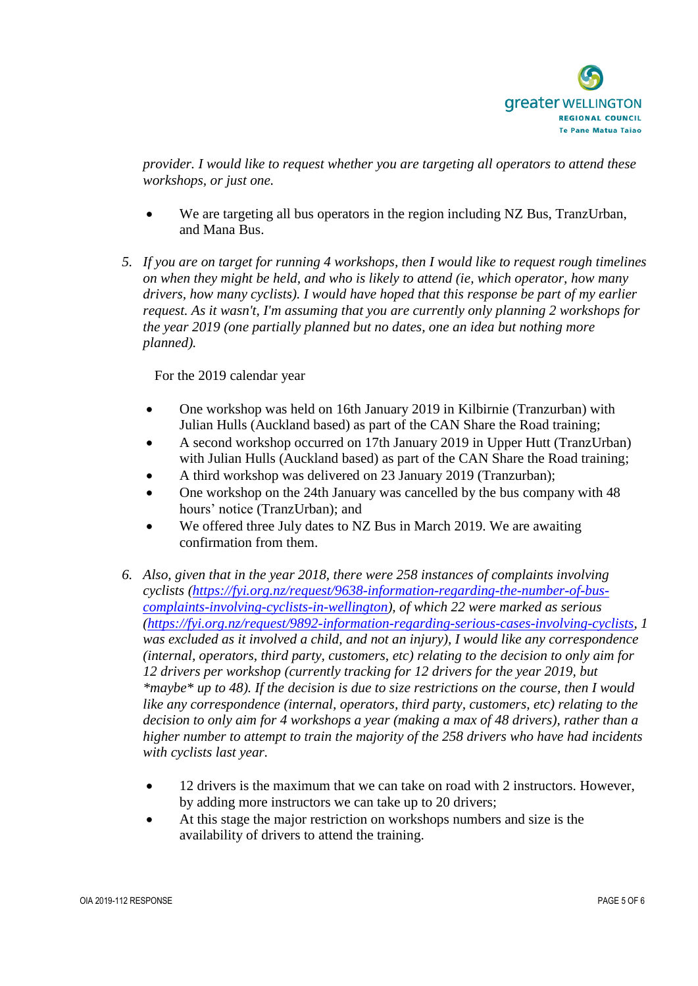

*provider. I would like to request whether you are targeting all operators to attend these workshops, or just one.*

- We are targeting all bus operators in the region including NZ Bus, TranzUrban, and Mana Bus.
- *5. If you are on target for running 4 workshops, then I would like to request rough timelines on when they might be held, and who is likely to attend (ie, which operator, how many drivers, how many cyclists). I would have hoped that this response be part of my earlier request. As it wasn't, I'm assuming that you are currently only planning 2 workshops for the year 2019 (one partially planned but no dates, one an idea but nothing more planned).*

For the 2019 calendar year

- One workshop was held on 16th January 2019 in Kilbirnie (Tranzurban) with Julian Hulls (Auckland based) as part of the CAN Share the Road training;
- A second workshop occurred on 17th January 2019 in Upper Hutt (TranzUrban) with Julian Hulls (Auckland based) as part of the CAN Share the Road training;
- A third workshop was delivered on 23 January 2019 (Tranzurban);
- One workshop on the 24th January was cancelled by the bus company with 48 hours' notice (TranzUrban); and
- We offered three July dates to NZ Bus in March 2019. We are awaiting confirmation from them.
- *6. Also, given that in the year 2018, there were 258 instances of complaints involving cyclists [\(https://fyi.org.nz/request/9638-information-regarding-the-number-of-bus](https://fyi.org.nz/request/9638-information-regarding-the-number-of-bus-complaints-involving-cyclists-in-wellington)[complaints-involving-cyclists-in-wellington\)](https://fyi.org.nz/request/9638-information-regarding-the-number-of-bus-complaints-involving-cyclists-in-wellington), of which 22 were marked as serious [\(https://fyi.org.nz/request/9892-information-regarding-serious-cases-involving-cyclists,](https://fyi.org.nz/request/9892-information-regarding-serious-cases-involving-cyclists) 1 was excluded as it involved a child, and not an injury), I would like any correspondence (internal, operators, third party, customers, etc) relating to the decision to only aim for 12 drivers per workshop (currently tracking for 12 drivers for the year 2019, but \*maybe\* up to 48). If the decision is due to size restrictions on the course, then I would like any correspondence (internal, operators, third party, customers, etc) relating to the decision to only aim for 4 workshops a year (making a max of 48 drivers), rather than a higher number to attempt to train the majority of the 258 drivers who have had incidents with cyclists last year.*
	- 12 drivers is the maximum that we can take on road with 2 instructors. However, by adding more instructors we can take up to 20 drivers;
	- At this stage the major restriction on workshops numbers and size is the availability of drivers to attend the training.